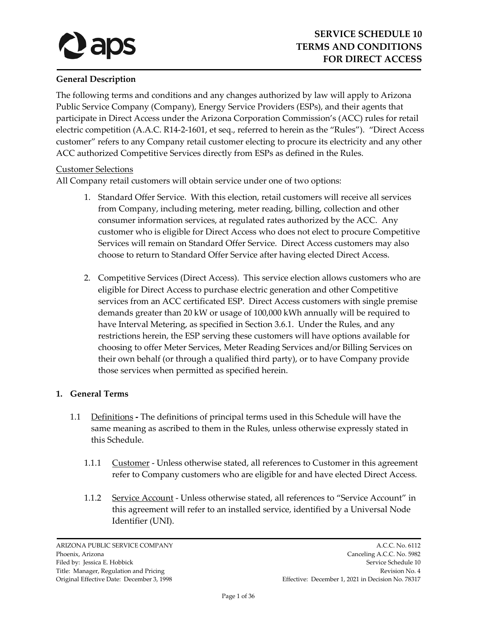# **General Description**

The following terms and conditions and any changes authorized by law will apply to Arizona Public Service Company (Company), Energy Service Providers (ESPs), and their agents that participate in Direct Access under the Arizona Corporation Commission's (ACC) rules for retail electric competition (A.A.C. R14-2-1601, et seq., referred to herein as the "Rules"). "Direct Access customer" refers to any Company retail customer electing to procure its electricity and any other ACC authorized Competitive Services directly from ESPs as defined in the Rules.

## Customer Selections

All Company retail customers will obtain service under one of two options:

- 1. Standard Offer Service. With this election, retail customers will receive all services from Company, including metering, meter reading, billing, collection and other consumer information services, at regulated rates authorized by the ACC. Any customer who is eligible for Direct Access who does not elect to procure Competitive Services will remain on Standard Offer Service. Direct Access customers may also choose to return to Standard Offer Service after having elected Direct Access.
- 2. Competitive Services (Direct Access). This service election allows customers who are eligible for Direct Access to purchase electric generation and other Competitive services from an ACC certificated ESP. Direct Access customers with single premise demands greater than 20 kW or usage of 100,000 kWh annually will be required to have Interval Metering, as specified in Section 3.6.1. Under the Rules, and any restrictions herein, the ESP serving these customers will have options available for choosing to offer Meter Services, Meter Reading Services and/or Billing Services on their own behalf (or through a qualified third party), or to have Company provide those services when permitted as specified herein.

## **1. General Terms**

- 1.1 Definitions **-** The definitions of principal terms used in this Schedule will have the same meaning as ascribed to them in the Rules, unless otherwise expressly stated in this Schedule.
	- 1.1.1 Customer Unless otherwise stated, all references to Customer in this agreement refer to Company customers who are eligible for and have elected Direct Access.
	- 1.1.2 Service Account Unless otherwise stated, all references to "Service Account" in this agreement will refer to an installed service, identified by a Universal Node Identifier (UNI).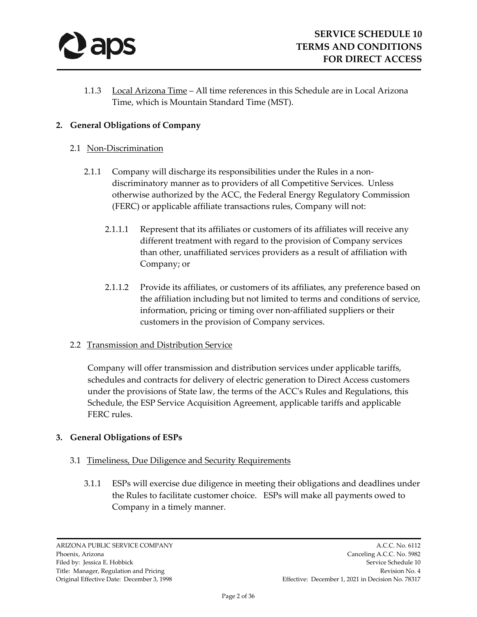

1.1.3 Local Arizona Time – All time references in this Schedule are in Local Arizona Time, which is Mountain Standard Time (MST).

## **2. General Obligations of Company**

#### 2.1 Non-Discrimination

- 2.1.1 Company will discharge its responsibilities under the Rules in a nondiscriminatory manner as to providers of all Competitive Services. Unless otherwise authorized by the ACC, the Federal Energy Regulatory Commission (FERC) or applicable affiliate transactions rules, Company will not:
	- 2.1.1.1 Represent that its affiliates or customers of its affiliates will receive any different treatment with regard to the provision of Company services than other, unaffiliated services providers as a result of affiliation with Company; or
	- 2.1.1.2 Provide its affiliates, or customers of its affiliates, any preference based on the affiliation including but not limited to terms and conditions of service, information, pricing or timing over non-affiliated suppliers or their customers in the provision of Company services.

## 2.2 Transmission and Distribution Service

Company will offer transmission and distribution services under applicable tariffs, schedules and contracts for delivery of electric generation to Direct Access customers under the provisions of State law, the terms of the ACC's Rules and Regulations, this Schedule, the ESP Service Acquisition Agreement, applicable tariffs and applicable FERC rules.

## **3. General Obligations of ESPs**

## 3.1 Timeliness, Due Diligence and Security Requirements

3.1.1 ESPs will exercise due diligence in meeting their obligations and deadlines under the Rules to facilitate customer choice. ESPs will make all payments owed to Company in a timely manner.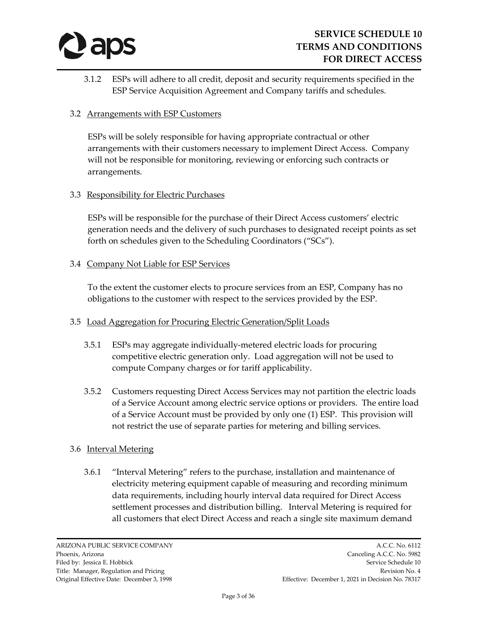

3.1.2 ESPs will adhere to all credit, deposit and security requirements specified in the ESP Service Acquisition Agreement and Company tariffs and schedules.

## 3.2 Arrangements with ESP Customers

ESPs will be solely responsible for having appropriate contractual or other arrangements with their customers necessary to implement Direct Access. Company will not be responsible for monitoring, reviewing or enforcing such contracts or arrangements.

#### 3.3 Responsibility for Electric Purchases

ESPs will be responsible for the purchase of their Direct Access customers' electric generation needs and the delivery of such purchases to designated receipt points as set forth on schedules given to the Scheduling Coordinators ("SCs").

#### 3.4 Company Not Liable for ESP Services

To the extent the customer elects to procure services from an ESP, Company has no obligations to the customer with respect to the services provided by the ESP.

## 3.5 Load Aggregation for Procuring Electric Generation/Split Loads

- 3.5.1 ESPs may aggregate individually-metered electric loads for procuring competitive electric generation only. Load aggregation will not be used to compute Company charges or for tariff applicability.
- 3.5.2 Customers requesting Direct Access Services may not partition the electric loads of a Service Account among electric service options or providers. The entire load of a Service Account must be provided by only one (1) ESP. This provision will not restrict the use of separate parties for metering and billing services.

## 3.6 Interval Metering

3.6.1 "Interval Metering" refers to the purchase, installation and maintenance of electricity metering equipment capable of measuring and recording minimum data requirements, including hourly interval data required for Direct Access settlement processes and distribution billing. Interval Metering is required for all customers that elect Direct Access and reach a single site maximum demand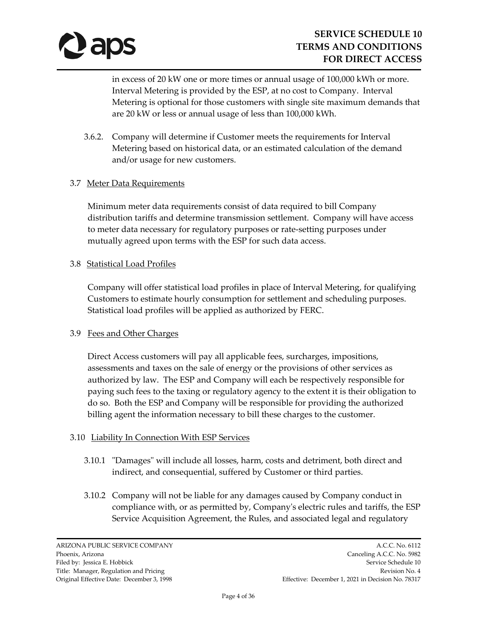

in excess of 20 kW one or more times or annual usage of 100,000 kWh or more. Interval Metering is provided by the ESP, at no cost to Company. Interval Metering is optional for those customers with single site maximum demands that are 20 kW or less or annual usage of less than 100,000 kWh.

3.6.2. Company will determine if Customer meets the requirements for Interval Metering based on historical data, or an estimated calculation of the demand and/or usage for new customers.

## 3.7 Meter Data Requirements

Minimum meter data requirements consist of data required to bill Company distribution tariffs and determine transmission settlement. Company will have access to meter data necessary for regulatory purposes or rate-setting purposes under mutually agreed upon terms with the ESP for such data access.

## 3.8 Statistical Load Profiles

Company will offer statistical load profiles in place of Interval Metering, for qualifying Customers to estimate hourly consumption for settlement and scheduling purposes. Statistical load profiles will be applied as authorized by FERC.

## 3.9 Fees and Other Charges

Direct Access customers will pay all applicable fees, surcharges, impositions, assessments and taxes on the sale of energy or the provisions of other services as authorized by law. The ESP and Company will each be respectively responsible for paying such fees to the taxing or regulatory agency to the extent it is their obligation to do so. Both the ESP and Company will be responsible for providing the authorized billing agent the information necessary to bill these charges to the customer.

## 3.10 Liability In Connection With ESP Services

- 3.10.1 "Damages" will include all losses, harm, costs and detriment, both direct and indirect, and consequential, suffered by Customer or third parties.
- 3.10.2 Company will not be liable for any damages caused by Company conduct in compliance with, or as permitted by, Company's electric rules and tariffs, the ESP Service Acquisition Agreement, the Rules, and associated legal and regulatory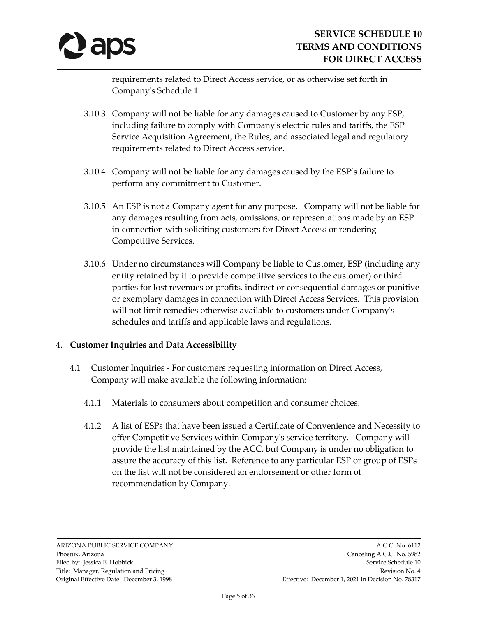

requirements related to Direct Access service, or as otherwise set forth in Company's Schedule 1.

- 3.10.3 Company will not be liable for any damages caused to Customer by any ESP, including failure to comply with Company's electric rules and tariffs, the ESP Service Acquisition Agreement, the Rules, and associated legal and regulatory requirements related to Direct Access service.
- 3.10.4 Company will not be liable for any damages caused by the ESP's failure to perform any commitment to Customer.
- 3.10.5 An ESP is not a Company agent for any purpose. Company will not be liable for any damages resulting from acts, omissions, or representations made by an ESP in connection with soliciting customers for Direct Access or rendering Competitive Services.
- 3.10.6 Under no circumstances will Company be liable to Customer, ESP (including any entity retained by it to provide competitive services to the customer) or third parties for lost revenues or profits, indirect or consequential damages or punitive or exemplary damages in connection with Direct Access Services. This provision will not limit remedies otherwise available to customers under Company's schedules and tariffs and applicable laws and regulations.

## 4. **Customer Inquiries and Data Accessibility**

- 4.1 Customer Inquiries For customers requesting information on Direct Access, Company will make available the following information:
	- 4.1.1 Materials to consumers about competition and consumer choices.
	- 4.1.2 A list of ESPs that have been issued a Certificate of Convenience and Necessity to offer Competitive Services within Company's service territory. Company will provide the list maintained by the ACC, but Company is under no obligation to assure the accuracy of this list. Reference to any particular ESP or group of ESPs on the list will not be considered an endorsement or other form of recommendation by Company.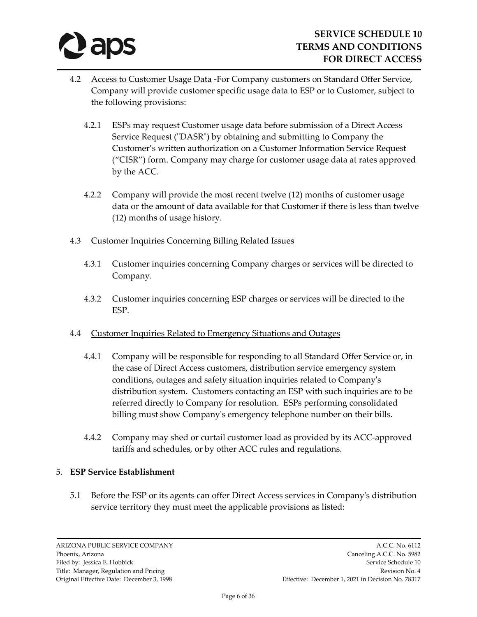

- 4.2 Access to Customer Usage Data -For Company customers on Standard Offer Service, Company will provide customer specific usage data to ESP or to Customer, subject to the following provisions:
	- 4.2.1 ESPs may request Customer usage data before submission of a Direct Access Service Request ("DASR") by obtaining and submitting to Company the Customer's written authorization on a Customer Information Service Request ("CISR") form. Company may charge for customer usage data at rates approved by the ACC.
	- 4.2.2 Company will provide the most recent twelve (12) months of customer usage data or the amount of data available for that Customer if there is less than twelve (12) months of usage history.
- 4.3 Customer Inquiries Concerning Billing Related Issues
	- 4.3.1 Customer inquiries concerning Company charges or services will be directed to Company.
	- 4.3.2 Customer inquiries concerning ESP charges or services will be directed to the ESP.
- 4.4 Customer Inquiries Related to Emergency Situations and Outages
	- 4.4.1 Company will be responsible for responding to all Standard Offer Service or, in the case of Direct Access customers, distribution service emergency system conditions, outages and safety situation inquiries related to Company's distribution system. Customers contacting an ESP with such inquiries are to be referred directly to Company for resolution. ESPs performing consolidated billing must show Company's emergency telephone number on their bills.
	- 4.4.2 Company may shed or curtail customer load as provided by its ACC-approved tariffs and schedules, or by other ACC rules and regulations.

## 5. **ESP Service Establishment**

5.1 Before the ESP or its agents can offer Direct Access services in Company's distribution service territory they must meet the applicable provisions as listed: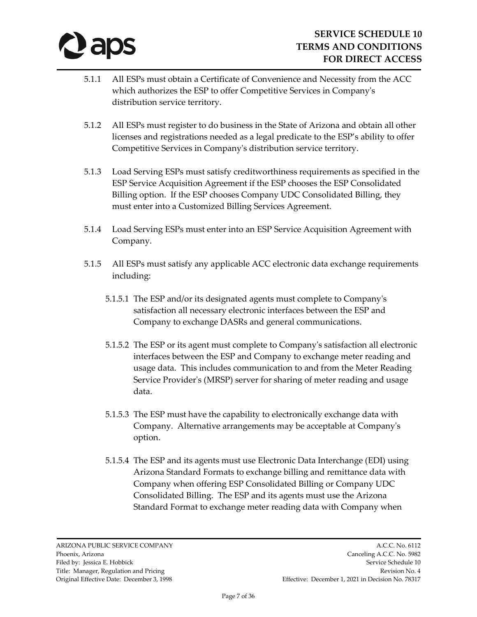

- 5.1.1 All ESPs must obtain a Certificate of Convenience and Necessity from the ACC which authorizes the ESP to offer Competitive Services in Company's distribution service territory.
- 5.1.2 All ESPs must register to do business in the State of Arizona and obtain all other licenses and registrations needed as a legal predicate to the ESP's ability to offer Competitive Services in Company's distribution service territory.
- 5.1.3 Load Serving ESPs must satisfy creditworthiness requirements as specified in the ESP Service Acquisition Agreement if the ESP chooses the ESP Consolidated Billing option. If the ESP chooses Company UDC Consolidated Billing, they must enter into a Customized Billing Services Agreement.
- 5.1.4 Load Serving ESPs must enter into an ESP Service Acquisition Agreement with Company.
- 5.1.5 All ESPs must satisfy any applicable ACC electronic data exchange requirements including:
	- 5.1.5.1 The ESP and/or its designated agents must complete to Company's satisfaction all necessary electronic interfaces between the ESP and Company to exchange DASRs and general communications.
	- 5.1.5.2 The ESP or its agent must complete to Company's satisfaction all electronic interfaces between the ESP and Company to exchange meter reading and usage data. This includes communication to and from the Meter Reading Service Provider's (MRSP) server for sharing of meter reading and usage data.
	- 5.1.5.3 The ESP must have the capability to electronically exchange data with Company. Alternative arrangements may be acceptable at Company's option.
	- 5.1.5.4 The ESP and its agents must use Electronic Data Interchange (EDI) using Arizona Standard Formats to exchange billing and remittance data with Company when offering ESP Consolidated Billing or Company UDC Consolidated Billing. The ESP and its agents must use the Arizona Standard Format to exchange meter reading data with Company when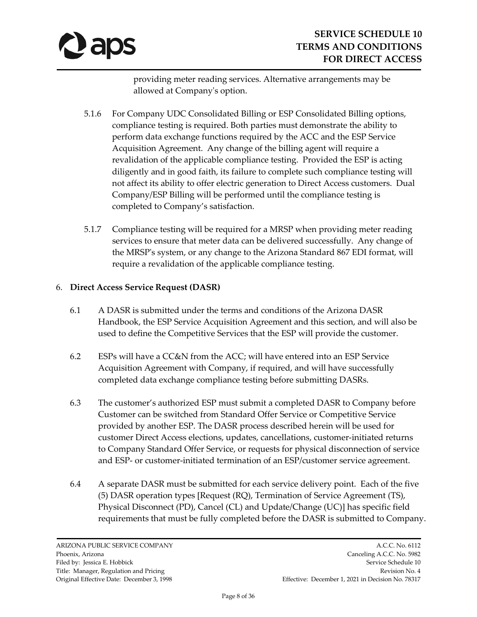

providing meter reading services. Alternative arrangements may be allowed at Company's option.

- 5.1.6 For Company UDC Consolidated Billing or ESP Consolidated Billing options, compliance testing is required. Both parties must demonstrate the ability to perform data exchange functions required by the ACC and the ESP Service Acquisition Agreement. Any change of the billing agent will require a revalidation of the applicable compliance testing. Provided the ESP is acting diligently and in good faith, its failure to complete such compliance testing will not affect its ability to offer electric generation to Direct Access customers. Dual Company/ESP Billing will be performed until the compliance testing is completed to Company's satisfaction.
- 5.1.7 Compliance testing will be required for a MRSP when providing meter reading services to ensure that meter data can be delivered successfully. Any change of the MRSP's system, or any change to the Arizona Standard 867 EDI format, will require a revalidation of the applicable compliance testing.

## 6. **Direct Access Service Request (DASR)**

- 6.1 A DASR is submitted under the terms and conditions of the Arizona DASR Handbook, the ESP Service Acquisition Agreement and this section, and will also be used to define the Competitive Services that the ESP will provide the customer.
- 6.2 ESPs will have a CC&N from the ACC; will have entered into an ESP Service Acquisition Agreement with Company, if required, and will have successfully completed data exchange compliance testing before submitting DASRs.
- 6.3 The customer's authorized ESP must submit a completed DASR to Company before Customer can be switched from Standard Offer Service or Competitive Service provided by another ESP. The DASR process described herein will be used for customer Direct Access elections, updates, cancellations, customer-initiated returns to Company Standard Offer Service, or requests for physical disconnection of service and ESP- or customer-initiated termination of an ESP/customer service agreement.
- 6.4 A separate DASR must be submitted for each service delivery point. Each of the five (5) DASR operation types [Request (RQ), Termination of Service Agreement (TS), Physical Disconnect (PD), Cancel (CL) and Update/Change (UC)] has specific field requirements that must be fully completed before the DASR is submitted to Company.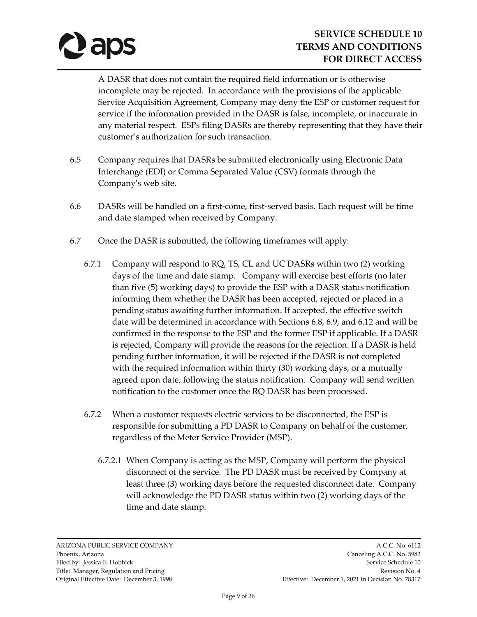

A DASR that does not contain the required field information or is otherwise incomplete may be rejected. In accordance with the provisions of the applicable Service Acquisition Agreement, Company may deny the ESP or customer request for service if the information provided in the DASR is false, incomplete, or inaccurate in any material respect. ESPs filing DASRs are thereby representing that they have their customer's authorization for such transaction.

- 6.5 Company requires that DASRs be submitted electronically using Electronic Data Interchange (EDI) or Comma Separated Value (CSV) formats through the Company's web site.
- 6.6 DASRs will be handled on a first-come, first-served basis. Each request will be time and date stamped when received by Company.
- 6.7 Once the DASR is submitted, the following timeframes will apply:
	- 6.7.1 Company will respond to RQ, TS, CL and UC DASRs within two (2) working days of the time and date stamp. Company will exercise best efforts (no later than five (5) working days) to provide the ESP with a DASR status notification informing them whether the DASR has been accepted, rejected or placed in a pending status awaiting further information. If accepted, the effective switch date will be determined in accordance with Sections 6.8, 6.9, and 6.12 and will be confirmed in the response to the ESP and the former ESP if applicable. If a DASR is rejected, Company will provide the reasons for the rejection. If a DASR is held pending further information, it will be rejected if the DASR is not completed with the required information within thirty (30) working days, or a mutually agreed upon date, following the status notification. Company will send written notification to the customer once the RQ DASR has been processed.
	- 6.7.2 When a customer requests electric services to be disconnected, the ESP is responsible for submitting a PD DASR to Company on behalf of the customer, regardless of the Meter Service Provider (MSP).
		- 6.7.2.1 When Company is acting as the MSP, Company will perform the physical disconnect of the service. The PD DASR must be received by Company at least three (3) working days before the requested disconnect date. Company will acknowledge the PD DASR status within two (2) working days of the time and date stamp.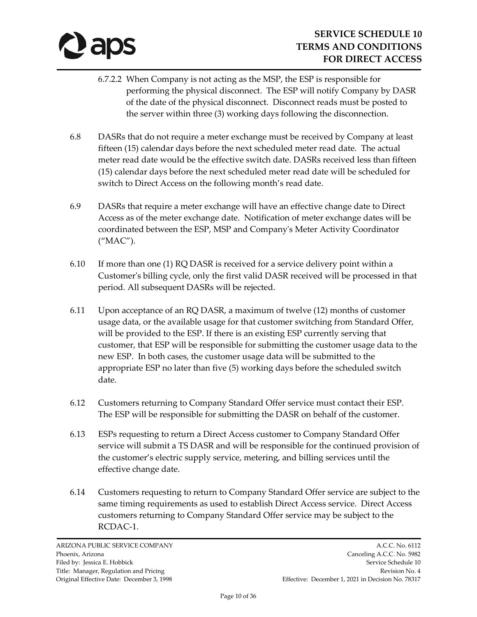

- 6.7.2.2 When Company is not acting as the MSP, the ESP is responsible for performing the physical disconnect. The ESP will notify Company by DASR of the date of the physical disconnect. Disconnect reads must be posted to the server within three (3) working days following the disconnection.
- 6.8 DASRs that do not require a meter exchange must be received by Company at least fifteen (15) calendar days before the next scheduled meter read date. The actual meter read date would be the effective switch date. DASRs received less than fifteen (15) calendar days before the next scheduled meter read date will be scheduled for switch to Direct Access on the following month's read date.
- 6.9 DASRs that require a meter exchange will have an effective change date to Direct Access as of the meter exchange date. Notification of meter exchange dates will be coordinated between the ESP, MSP and Company's Meter Activity Coordinator ("MAC").
- 6.10 If more than one (1)  $RQ$  DASR is received for a service delivery point within a Customer's billing cycle, only the first valid DASR received will be processed in that period. All subsequent DASRs will be rejected.
- 6.11 Upon acceptance of an RQ DASR, a maximum of twelve (12) months of customer usage data, or the available usage for that customer switching from Standard Offer, will be provided to the ESP. If there is an existing ESP currently serving that customer, that ESP will be responsible for submitting the customer usage data to the new ESP. In both cases, the customer usage data will be submitted to the appropriate ESP no later than five (5) working days before the scheduled switch date.
- 6.12 Customers returning to Company Standard Offer service must contact their ESP. The ESP will be responsible for submitting the DASR on behalf of the customer.
- 6.13 ESPs requesting to return a Direct Access customer to Company Standard Offer service will submit a TS DASR and will be responsible for the continued provision of the customer's electric supply service, metering, and billing services until the effective change date.
- 6.14 Customers requesting to return to Company Standard Offer service are subject to the same timing requirements as used to establish Direct Access service. Direct Access customers returning to Company Standard Offer service may be subject to the RCDAC-1.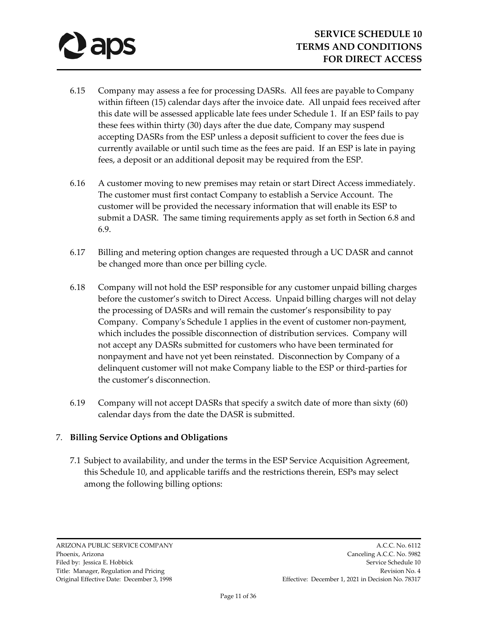- 6.15 Company may assess a fee for processing DASRs. All fees are payable to Company within fifteen (15) calendar days after the invoice date. All unpaid fees received after this date will be assessed applicable late fees under Schedule 1. If an ESP fails to pay these fees within thirty (30) days after the due date, Company may suspend accepting DASRs from the ESP unless a deposit sufficient to cover the fees due is currently available or until such time as the fees are paid. If an ESP is late in paying fees, a deposit or an additional deposit may be required from the ESP.
- 6.16 A customer moving to new premises may retain or start Direct Access immediately. The customer must first contact Company to establish a Service Account. The customer will be provided the necessary information that will enable its ESP to submit a DASR. The same timing requirements apply as set forth in Section 6.8 and 6.9.
- 6.17 Billing and metering option changes are requested through a UC DASR and cannot be changed more than once per billing cycle.
- 6.18 Company will not hold the ESP responsible for any customer unpaid billing charges before the customer's switch to Direct Access. Unpaid billing charges will not delay the processing of DASRs and will remain the customer's responsibility to pay Company. Company's Schedule 1 applies in the event of customer non-payment, which includes the possible disconnection of distribution services. Company will not accept any DASRs submitted for customers who have been terminated for nonpayment and have not yet been reinstated. Disconnection by Company of a delinquent customer will not make Company liable to the ESP or third-parties for the customer's disconnection.
- 6.19 Company will not accept DASRs that specify a switch date of more than sixty (60) calendar days from the date the DASR is submitted.

# 7. **Billing Service Options and Obligations**

7.1 Subject to availability, and under the terms in the ESP Service Acquisition Agreement, this Schedule 10, and applicable tariffs and the restrictions therein, ESPs may select among the following billing options: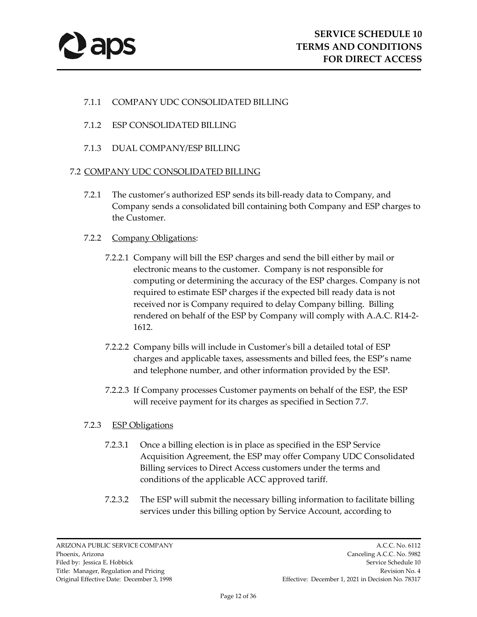

## 7.1.1 COMPANY UDC CONSOLIDATED BILLING

- 7.1.2 ESP CONSOLIDATED BILLING
- 7.1.3 DUAL COMPANY/ESP BILLING

#### 7.2 COMPANY UDC CONSOLIDATED BILLING

7.2.1 The customer's authorized ESP sends its bill-ready data to Company, and Company sends a consolidated bill containing both Company and ESP charges to the Customer.

## 7.2.2 Company Obligations:

- 7.2.2.1 Company will bill the ESP charges and send the bill either by mail or electronic means to the customer. Company is not responsible for computing or determining the accuracy of the ESP charges. Company is not required to estimate ESP charges if the expected bill ready data is not received nor is Company required to delay Company billing. Billing rendered on behalf of the ESP by Company will comply with A.A.C. R14-2- 1612.
- 7.2.2.2 Company bills will include in Customer's bill a detailed total of ESP charges and applicable taxes, assessments and billed fees, the ESP's name and telephone number, and other information provided by the ESP.
- 7.2.2.3 If Company processes Customer payments on behalf of the ESP, the ESP will receive payment for its charges as specified in Section 7.7.

## 7.2.3 ESP Obligations

- 7.2.3.1 Once a billing election is in place as specified in the ESP Service Acquisition Agreement, the ESP may offer Company UDC Consolidated Billing services to Direct Access customers under the terms and conditions of the applicable ACC approved tariff.
- 7.2.3.2 The ESP will submit the necessary billing information to facilitate billing services under this billing option by Service Account, according to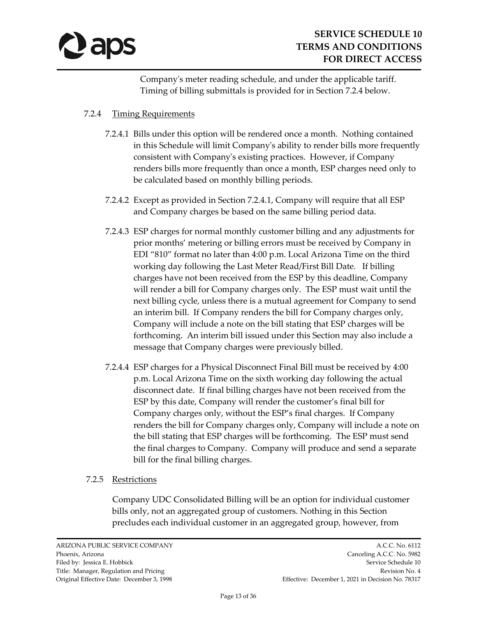

Company's meter reading schedule, and under the applicable tariff. Timing of billing submittals is provided for in Section 7.2.4 below.

## 7.2.4 Timing Requirements

- 7.2.4.1 Bills under this option will be rendered once a month. Nothing contained in this Schedule will limit Company's ability to render bills more frequently consistent with Company's existing practices. However, if Company renders bills more frequently than once a month, ESP charges need only to be calculated based on monthly billing periods.
- 7.2.4.2 Except as provided in Section 7.2.4.1, Company will require that all ESP and Company charges be based on the same billing period data.
- 7.2.4.3 ESP charges for normal monthly customer billing and any adjustments for prior months' metering or billing errors must be received by Company in EDI "810" format no later than 4:00 p.m. Local Arizona Time on the third working day following the Last Meter Read/First Bill Date. If billing charges have not been received from the ESP by this deadline, Company will render a bill for Company charges only. The ESP must wait until the next billing cycle, unless there is a mutual agreement for Company to send an interim bill. If Company renders the bill for Company charges only, Company will include a note on the bill stating that ESP charges will be forthcoming. An interim bill issued under this Section may also include a message that Company charges were previously billed.
- 7.2.4.4 ESP charges for a Physical Disconnect Final Bill must be received by 4:00 p.m. Local Arizona Time on the sixth working day following the actual disconnect date. If final billing charges have not been received from the ESP by this date, Company will render the customer's final bill for Company charges only, without the ESP's final charges. If Company renders the bill for Company charges only, Company will include a note on the bill stating that ESP charges will be forthcoming. The ESP must send the final charges to Company. Company will produce and send a separate bill for the final billing charges.

## 7.2.5 Restrictions

Company UDC Consolidated Billing will be an option for individual customer bills only, not an aggregated group of customers. Nothing in this Section precludes each individual customer in an aggregated group, however, from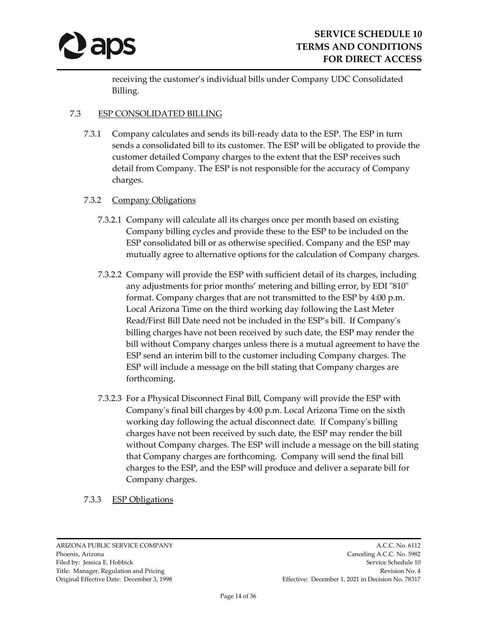

receiving the customer's individual bills under Company UDC Consolidated Billing.

## 7.3 ESP CONSOLIDATED BILLING

7.3.1 Company calculates and sends its bill-ready data to the ESP. The ESP in turn sends a consolidated bill to its customer. The ESP will be obligated to provide the customer detailed Company charges to the extent that the ESP receives such detail from Company. The ESP is not responsible for the accuracy of Company charges.

## 7.3.2 Company Obligations

- 7.3.2.1 Company will calculate all its charges once per month based on existing Company billing cycles and provide these to the ESP to be included on the ESP consolidated bill or as otherwise specified. Company and the ESP may mutually agree to alternative options for the calculation of Company charges.
- 7.3.2.2 Company will provide the ESP with sufficient detail of its charges, including any adjustments for prior months' metering and billing error, by EDI "810" format. Company charges that are not transmitted to the ESP by 4:00 p.m. Local Arizona Time on the third working day following the Last Meter Read/First Bill Date need not be included in the ESP's bill. If Company's billing charges have not been received by such date, the ESP may render the bill without Company charges unless there is a mutual agreement to have the ESP send an interim bill to the customer including Company charges. The ESP will include a message on the bill stating that Company charges are forthcoming.
- 7.3.2.3 For a Physical Disconnect Final Bill, Company will provide the ESP with Company's final bill charges by 4:00 p.m. Local Arizona Time on the sixth working day following the actual disconnect date. If Company's billing charges have not been received by such date, the ESP may render the bill without Company charges. The ESP will include a message on the bill stating that Company charges are forthcoming. Company will send the final bill charges to the ESP, and the ESP will produce and deliver a separate bill for Company charges.

## 7.3.3 ESP Obligations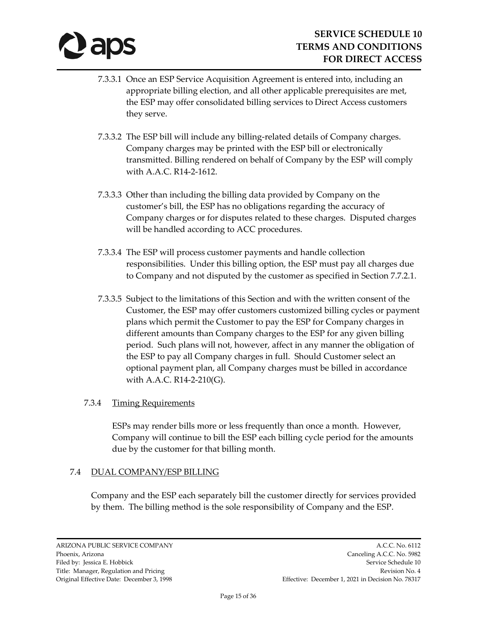# **D** aps

- 7.3.3.1 Once an ESP Service Acquisition Agreement is entered into, including an appropriate billing election, and all other applicable prerequisites are met, the ESP may offer consolidated billing services to Direct Access customers they serve.
- 7.3.3.2 The ESP bill will include any billing-related details of Company charges. Company charges may be printed with the ESP bill or electronically transmitted. Billing rendered on behalf of Company by the ESP will comply with A.A.C. R14-2-1612.
- 7.3.3.3 Other than including the billing data provided by Company on the customer's bill, the ESP has no obligations regarding the accuracy of Company charges or for disputes related to these charges. Disputed charges will be handled according to ACC procedures.
- 7.3.3.4 The ESP will process customer payments and handle collection responsibilities. Under this billing option, the ESP must pay all charges due to Company and not disputed by the customer as specified in Section 7.7.2.1.
- 7.3.3.5 Subject to the limitations of this Section and with the written consent of the Customer, the ESP may offer customers customized billing cycles or payment plans which permit the Customer to pay the ESP for Company charges in different amounts than Company charges to the ESP for any given billing period. Such plans will not, however, affect in any manner the obligation of the ESP to pay all Company charges in full. Should Customer select an optional payment plan, all Company charges must be billed in accordance with A.A.C. R14-2-210(G).

# 7.3.4 Timing Requirements

ESPs may render bills more or less frequently than once a month. However, Company will continue to bill the ESP each billing cycle period for the amounts due by the customer for that billing month.

# 7.4 DUAL COMPANY/ESP BILLING

Company and the ESP each separately bill the customer directly for services provided by them. The billing method is the sole responsibility of Company and the ESP.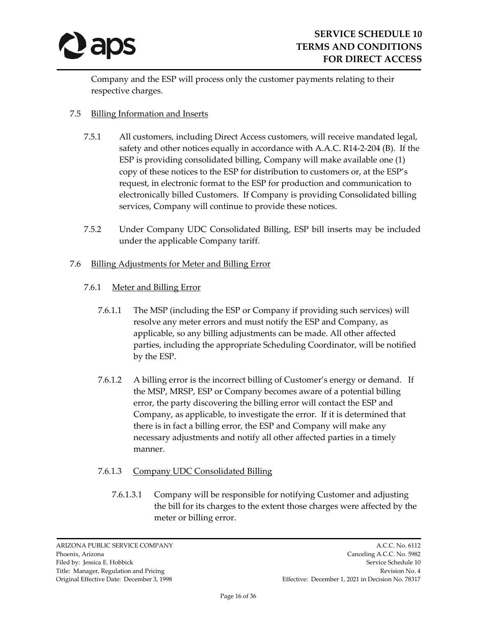

Company and the ESP will process only the customer payments relating to their respective charges.

## 7.5 Billing Information and Inserts

- 7.5.1 All customers, including Direct Access customers, will receive mandated legal, safety and other notices equally in accordance with A.A.C. R14-2-204 (B). If the ESP is providing consolidated billing, Company will make available one (1) copy of these notices to the ESP for distribution to customers or, at the ESP's request, in electronic format to the ESP for production and communication to electronically billed Customers. If Company is providing Consolidated billing services, Company will continue to provide these notices.
- 7.5.2 Under Company UDC Consolidated Billing, ESP bill inserts may be included under the applicable Company tariff.

## 7.6 Billing Adjustments for Meter and Billing Error

## 7.6.1 Meter and Billing Error

- 7.6.1.1 The MSP (including the ESP or Company if providing such services) will resolve any meter errors and must notify the ESP and Company, as applicable, so any billing adjustments can be made. All other affected parties, including the appropriate Scheduling Coordinator, will be notified by the ESP.
- 7.6.1.2 A billing error is the incorrect billing of Customer's energy or demand. If the MSP, MRSP, ESP or Company becomes aware of a potential billing error, the party discovering the billing error will contact the ESP and Company, as applicable, to investigate the error. If it is determined that there is in fact a billing error, the ESP and Company will make any necessary adjustments and notify all other affected parties in a timely manner.

# 7.6.1.3 Company UDC Consolidated Billing

7.6.1.3.1 Company will be responsible for notifying Customer and adjusting the bill for its charges to the extent those charges were affected by the meter or billing error.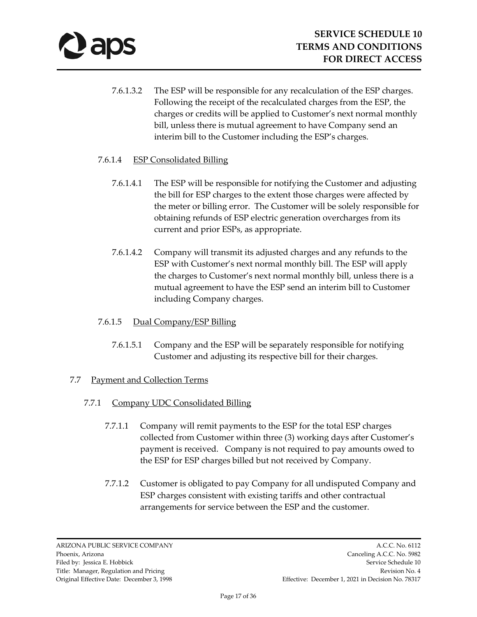- 7.6.1.3.2 The ESP will be responsible for any recalculation of the ESP charges. Following the receipt of the recalculated charges from the ESP, the charges or credits will be applied to Customer's next normal monthly bill, unless there is mutual agreement to have Company send an interim bill to the Customer including the ESP's charges.
- 7.6.1.4 ESP Consolidated Billing
	- 7.6.1.4.1 The ESP will be responsible for notifying the Customer and adjusting the bill for ESP charges to the extent those charges were affected by the meter or billing error. The Customer will be solely responsible for obtaining refunds of ESP electric generation overcharges from its current and prior ESPs, as appropriate.
	- 7.6.1.4.2 Company will transmit its adjusted charges and any refunds to the ESP with Customer's next normal monthly bill. The ESP will apply the charges to Customer's next normal monthly bill, unless there is a mutual agreement to have the ESP send an interim bill to Customer including Company charges.

# 7.6.1.5 Dual Company/ESP Billing

7.6.1.5.1 Company and the ESP will be separately responsible for notifying Customer and adjusting its respective bill for their charges.

## 7.7 Payment and Collection Terms

- 7.7.1 Company UDC Consolidated Billing
	- 7.7.1.1 Company will remit payments to the ESP for the total ESP charges collected from Customer within three (3) working days after Customer's payment is received. Company is not required to pay amounts owed to the ESP for ESP charges billed but not received by Company.
	- 7.7.1.2 Customer is obligated to pay Company for all undisputed Company and ESP charges consistent with existing tariffs and other contractual arrangements for service between the ESP and the customer.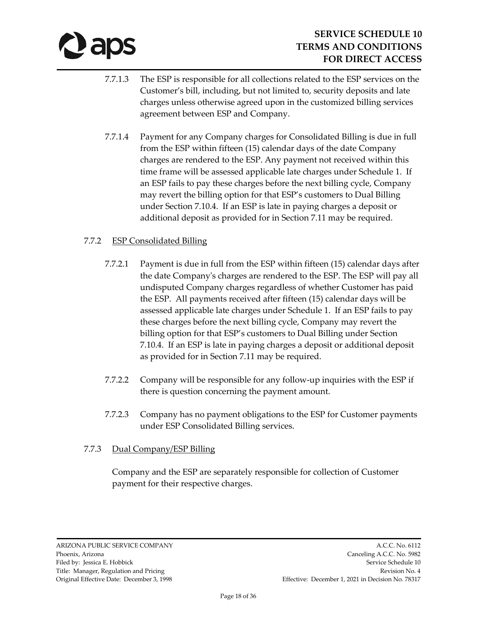

- 7.7.1.3 The ESP is responsible for all collections related to the ESP services on the Customer's bill, including, but not limited to, security deposits and late charges unless otherwise agreed upon in the customized billing services agreement between ESP and Company.
- 7.7.1.4 Payment for any Company charges for Consolidated Billing is due in full from the ESP within fifteen (15) calendar days of the date Company charges are rendered to the ESP. Any payment not received within this time frame will be assessed applicable late charges under Schedule 1. If an ESP fails to pay these charges before the next billing cycle, Company may revert the billing option for that ESP's customers to Dual Billing under Section 7.10.4. If an ESP is late in paying charges a deposit or additional deposit as provided for in Section 7.11 may be required.

## 7.7.2 ESP Consolidated Billing

- 7.7.2.1 Payment is due in full from the ESP within fifteen (15) calendar days after the date Company's charges are rendered to the ESP. The ESP will pay all undisputed Company charges regardless of whether Customer has paid the ESP. All payments received after fifteen (15) calendar days will be assessed applicable late charges under Schedule 1. If an ESP fails to pay these charges before the next billing cycle, Company may revert the billing option for that ESP's customers to Dual Billing under Section 7.10.4. If an ESP is late in paying charges a deposit or additional deposit as provided for in Section 7.11 may be required.
- 7.7.2.2 Company will be responsible for any follow-up inquiries with the ESP if there is question concerning the payment amount.
- 7.7.2.3 Company has no payment obligations to the ESP for Customer payments under ESP Consolidated Billing services.

# 7.7.3 Dual Company/ESP Billing

Company and the ESP are separately responsible for collection of Customer payment for their respective charges.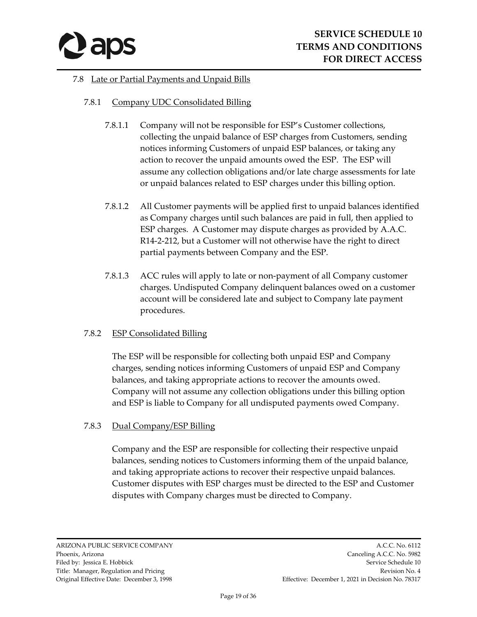

## 7.8 Late or Partial Payments and Unpaid Bills

## 7.8.1 Company UDC Consolidated Billing

- 7.8.1.1 Company will not be responsible for ESP's Customer collections, collecting the unpaid balance of ESP charges from Customers, sending notices informing Customers of unpaid ESP balances, or taking any action to recover the unpaid amounts owed the ESP. The ESP will assume any collection obligations and/or late charge assessments for late or unpaid balances related to ESP charges under this billing option.
- 7.8.1.2 All Customer payments will be applied first to unpaid balances identified as Company charges until such balances are paid in full, then applied to ESP charges. A Customer may dispute charges as provided by A.A.C. R14-2-212, but a Customer will not otherwise have the right to direct partial payments between Company and the ESP.
- 7.8.1.3 ACC rules will apply to late or non-payment of all Company customer charges. Undisputed Company delinquent balances owed on a customer account will be considered late and subject to Company late payment procedures.

## 7.8.2 ESP Consolidated Billing

The ESP will be responsible for collecting both unpaid ESP and Company charges, sending notices informing Customers of unpaid ESP and Company balances, and taking appropriate actions to recover the amounts owed. Company will not assume any collection obligations under this billing option and ESP is liable to Company for all undisputed payments owed Company.

## 7.8.3 Dual Company/ESP Billing

Company and the ESP are responsible for collecting their respective unpaid balances, sending notices to Customers informing them of the unpaid balance, and taking appropriate actions to recover their respective unpaid balances. Customer disputes with ESP charges must be directed to the ESP and Customer disputes with Company charges must be directed to Company.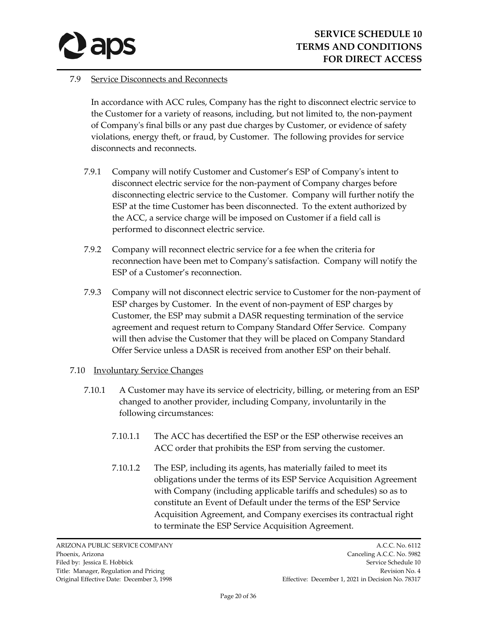

## 7.9 Service Disconnects and Reconnects

In accordance with ACC rules, Company has the right to disconnect electric service to the Customer for a variety of reasons, including, but not limited to, the non-payment of Company's final bills or any past due charges by Customer, or evidence of safety violations, energy theft, or fraud, by Customer. The following provides for service disconnects and reconnects.

- 7.9.1 Company will notify Customer and Customer's ESP of Company's intent to disconnect electric service for the non-payment of Company charges before disconnecting electric service to the Customer. Company will further notify the ESP at the time Customer has been disconnected. To the extent authorized by the ACC, a service charge will be imposed on Customer if a field call is performed to disconnect electric service.
- 7.9.2 Company will reconnect electric service for a fee when the criteria for reconnection have been met to Company's satisfaction. Company will notify the ESP of a Customer's reconnection.
- 7.9.3 Company will not disconnect electric service to Customer for the non-payment of ESP charges by Customer. In the event of non-payment of ESP charges by Customer, the ESP may submit a DASR requesting termination of the service agreement and request return to Company Standard Offer Service. Company will then advise the Customer that they will be placed on Company Standard Offer Service unless a DASR is received from another ESP on their behalf.

## 7.10 Involuntary Service Changes

- 7.10.1 A Customer may have its service of electricity, billing, or metering from an ESP changed to another provider, including Company, involuntarily in the following circumstances:
	- 7.10.1.1 The ACC has decertified the ESP or the ESP otherwise receives an ACC order that prohibits the ESP from serving the customer.
	- 7.10.1.2 The ESP, including its agents, has materially failed to meet its obligations under the terms of its ESP Service Acquisition Agreement with Company (including applicable tariffs and schedules) so as to constitute an Event of Default under the terms of the ESP Service Acquisition Agreement, and Company exercises its contractual right to terminate the ESP Service Acquisition Agreement.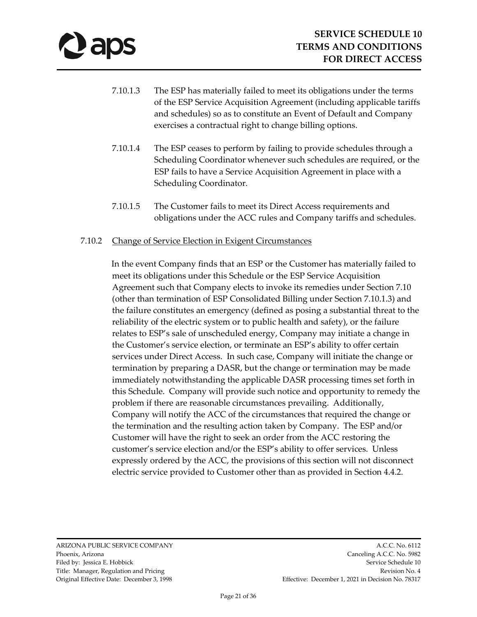- 7.10.1.3 The ESP has materially failed to meet its obligations under the terms of the ESP Service Acquisition Agreement (including applicable tariffs and schedules) so as to constitute an Event of Default and Company exercises a contractual right to change billing options.
- 7.10.1.4 The ESP ceases to perform by failing to provide schedules through a Scheduling Coordinator whenever such schedules are required, or the ESP fails to have a Service Acquisition Agreement in place with a Scheduling Coordinator.
- 7.10.1.5 The Customer fails to meet its Direct Access requirements and obligations under the ACC rules and Company tariffs and schedules.

## 7.10.2 Change of Service Election in Exigent Circumstances

In the event Company finds that an ESP or the Customer has materially failed to meet its obligations under this Schedule or the ESP Service Acquisition Agreement such that Company elects to invoke its remedies under Section 7.10 (other than termination of ESP Consolidated Billing under Section 7.10.1.3) and the failure constitutes an emergency (defined as posing a substantial threat to the reliability of the electric system or to public health and safety), or the failure relates to ESP's sale of unscheduled energy, Company may initiate a change in the Customer's service election, or terminate an ESP's ability to offer certain services under Direct Access. In such case, Company will initiate the change or termination by preparing a DASR, but the change or termination may be made immediately notwithstanding the applicable DASR processing times set forth in this Schedule. Company will provide such notice and opportunity to remedy the problem if there are reasonable circumstances prevailing. Additionally, Company will notify the ACC of the circumstances that required the change or the termination and the resulting action taken by Company. The ESP and/or Customer will have the right to seek an order from the ACC restoring the customer's service election and/or the ESP's ability to offer services. Unless expressly ordered by the ACC, the provisions of this section will not disconnect electric service provided to Customer other than as provided in Section 4.4.2.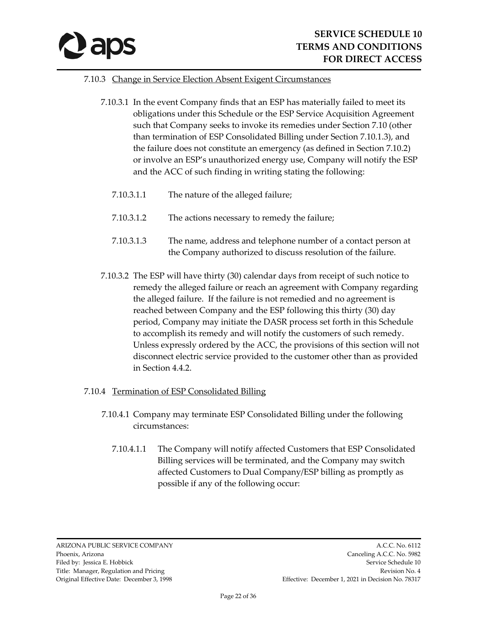

#### 7.10.3 Change in Service Election Absent Exigent Circumstances

- 7.10.3.1 In the event Company finds that an ESP has materially failed to meet its obligations under this Schedule or the ESP Service Acquisition Agreement such that Company seeks to invoke its remedies under Section 7.10 (other than termination of ESP Consolidated Billing under Section 7.10.1.3), and the failure does not constitute an emergency (as defined in Section 7.10.2) or involve an ESP's unauthorized energy use, Company will notify the ESP and the ACC of such finding in writing stating the following:
	- 7.10.3.1.1 The nature of the alleged failure;
	- 7.10.3.1.2 The actions necessary to remedy the failure;
	- 7.10.3.1.3 The name, address and telephone number of a contact person at the Company authorized to discuss resolution of the failure.
- 7.10.3.2 The ESP will have thirty (30) calendar days from receipt of such notice to remedy the alleged failure or reach an agreement with Company regarding the alleged failure. If the failure is not remedied and no agreement is reached between Company and the ESP following this thirty (30) day period, Company may initiate the DASR process set forth in this Schedule to accomplish its remedy and will notify the customers of such remedy. Unless expressly ordered by the ACC, the provisions of this section will not disconnect electric service provided to the customer other than as provided in Section 4.4.2.

#### 7.10.4 Termination of ESP Consolidated Billing

- 7.10.4.1 Company may terminate ESP Consolidated Billing under the following circumstances:
	- 7.10.4.1.1 The Company will notify affected Customers that ESP Consolidated Billing services will be terminated, and the Company may switch affected Customers to Dual Company/ESP billing as promptly as possible if any of the following occur: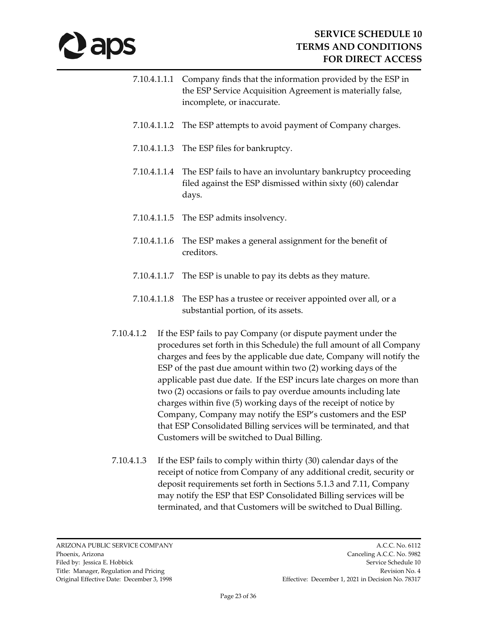# **Japs**

- 7.10.4.1.1.1 Company finds that the information provided by the ESP in the ESP Service Acquisition Agreement is materially false, incomplete, or inaccurate.
- 7.10.4.1.1.2 The ESP attempts to avoid payment of Company charges.
- 7.10.4.1.1.3 The ESP files for bankruptcy.
- 7.10.4.1.1.4 The ESP fails to have an involuntary bankruptcy proceeding filed against the ESP dismissed within sixty (60) calendar days.
- 7.10.4.1.1.5 The ESP admits insolvency.
- 7.10.4.1.1.6 The ESP makes a general assignment for the benefit of creditors.
- 7.10.4.1.1.7 The ESP is unable to pay its debts as they mature.
- 7.10.4.1.1.8 The ESP has a trustee or receiver appointed over all, or a substantial portion, of its assets.
- 7.10.4.1.2 If the ESP fails to pay Company (or dispute payment under the procedures set forth in this Schedule) the full amount of all Company charges and fees by the applicable due date, Company will notify the ESP of the past due amount within two (2) working days of the applicable past due date. If the ESP incurs late charges on more than two (2) occasions or fails to pay overdue amounts including late charges within five (5) working days of the receipt of notice by Company, Company may notify the ESP's customers and the ESP that ESP Consolidated Billing services will be terminated, and that Customers will be switched to Dual Billing.
- 7.10.4.1.3 If the ESP fails to comply within thirty (30) calendar days of the receipt of notice from Company of any additional credit, security or deposit requirements set forth in Sections 5.1.3 and 7.11, Company may notify the ESP that ESP Consolidated Billing services will be terminated, and that Customers will be switched to Dual Billing.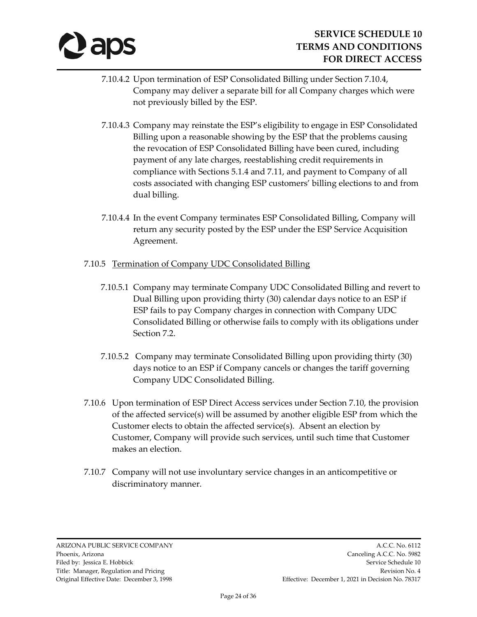

- 7.10.4.2 Upon termination of ESP Consolidated Billing under Section 7.10.4, Company may deliver a separate bill for all Company charges which were not previously billed by the ESP.
- 7.10.4.3 Company may reinstate the ESP's eligibility to engage in ESP Consolidated Billing upon a reasonable showing by the ESP that the problems causing the revocation of ESP Consolidated Billing have been cured, including payment of any late charges, reestablishing credit requirements in compliance with Sections 5.1.4 and 7.11, and payment to Company of all costs associated with changing ESP customers' billing elections to and from dual billing.
- 7.10.4.4 In the event Company terminates ESP Consolidated Billing, Company will return any security posted by the ESP under the ESP Service Acquisition Agreement.
- 7.10.5 Termination of Company UDC Consolidated Billing
	- 7.10.5.1 Company may terminate Company UDC Consolidated Billing and revert to Dual Billing upon providing thirty (30) calendar days notice to an ESP if ESP fails to pay Company charges in connection with Company UDC Consolidated Billing or otherwise fails to comply with its obligations under Section 7.2.
	- 7.10.5.2 Company may terminate Consolidated Billing upon providing thirty (30) days notice to an ESP if Company cancels or changes the tariff governing Company UDC Consolidated Billing.
- 7.10.6 Upon termination of ESP Direct Access services under Section 7.10, the provision of the affected service(s) will be assumed by another eligible ESP from which the Customer elects to obtain the affected service(s). Absent an election by Customer, Company will provide such services, until such time that Customer makes an election.
- 7.10.7 Company will not use involuntary service changes in an anticompetitive or discriminatory manner.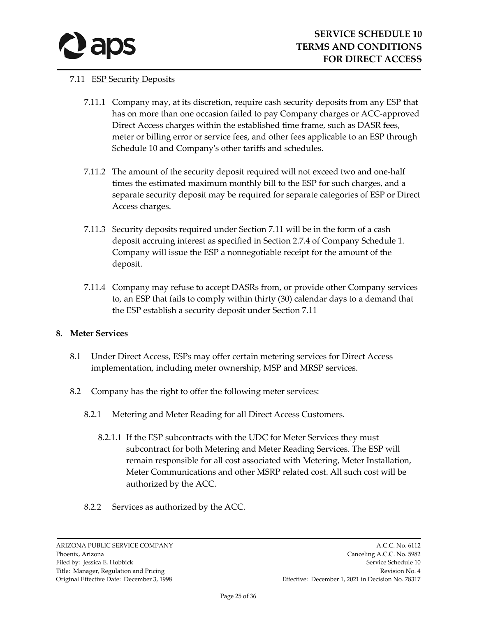

## 7.11 ESP Security Deposits

- 7.11.1 Company may, at its discretion, require cash security deposits from any ESP that has on more than one occasion failed to pay Company charges or ACC-approved Direct Access charges within the established time frame, such as DASR fees, meter or billing error or service fees, and other fees applicable to an ESP through Schedule 10 and Company's other tariffs and schedules.
- 7.11.2 The amount of the security deposit required will not exceed two and one-half times the estimated maximum monthly bill to the ESP for such charges, and a separate security deposit may be required for separate categories of ESP or Direct Access charges.
- 7.11.3 Security deposits required under Section 7.11 will be in the form of a cash deposit accruing interest as specified in Section 2.7.4 of Company Schedule 1. Company will issue the ESP a nonnegotiable receipt for the amount of the deposit.
- 7.11.4 Company may refuse to accept DASRs from, or provide other Company services to, an ESP that fails to comply within thirty (30) calendar days to a demand that the ESP establish a security deposit under Section 7.11

## **8. Meter Services**

- 8.1 Under Direct Access, ESPs may offer certain metering services for Direct Access implementation, including meter ownership, MSP and MRSP services.
- 8.2 Company has the right to offer the following meter services:
	- 8.2.1 Metering and Meter Reading for all Direct Access Customers.
		- 8.2.1.1 If the ESP subcontracts with the UDC for Meter Services they must subcontract for both Metering and Meter Reading Services. The ESP will remain responsible for all cost associated with Metering, Meter Installation, Meter Communications and other MSRP related cost. All such cost will be authorized by the ACC.
	- 8.2.2 Services as authorized by the ACC.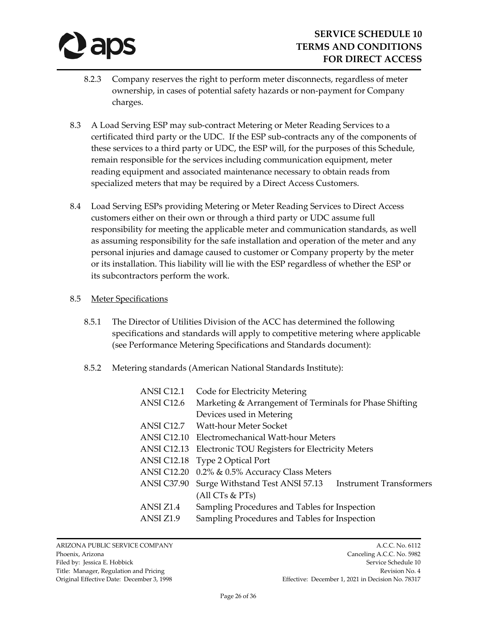

- 8.2.3 Company reserves the right to perform meter disconnects, regardless of meter ownership, in cases of potential safety hazards or non-payment for Company charges.
- 8.3 A Load Serving ESP may sub-contract Metering or Meter Reading Services to a certificated third party or the UDC. If the ESP sub-contracts any of the components of these services to a third party or UDC, the ESP will, for the purposes of this Schedule, remain responsible for the services including communication equipment, meter reading equipment and associated maintenance necessary to obtain reads from specialized meters that may be required by a Direct Access Customers.
- 8.4 Load Serving ESPs providing Metering or Meter Reading Services to Direct Access customers either on their own or through a third party or UDC assume full responsibility for meeting the applicable meter and communication standards, as well as assuming responsibility for the safe installation and operation of the meter and any personal injuries and damage caused to customer or Company property by the meter or its installation. This liability will lie with the ESP regardless of whether the ESP or its subcontractors perform the work.

#### 8.5 Meter Specifications

- 8.5.1 The Director of Utilities Division of the ACC has determined the following specifications and standards will apply to competitive metering where applicable (see Performance Metering Specifications and Standards document):
- 8.5.2 Metering standards (American National Standards Institute):

| ANSI C12.1         | Code for Electricity Metering                                     |  |  |
|--------------------|-------------------------------------------------------------------|--|--|
| ANSI C12.6         | Marketing & Arrangement of Terminals for Phase Shifting           |  |  |
|                    | Devices used in Metering                                          |  |  |
| ANSI C12.7         | Watt-hour Meter Socket                                            |  |  |
| <b>ANSI C12.10</b> | Electromechanical Watt-hour Meters                                |  |  |
| <b>ANSI C12.13</b> | Electronic TOU Registers for Electricity Meters                   |  |  |
| ANSI C12.18        | Type 2 Optical Port                                               |  |  |
| <b>ANSI C12.20</b> | 0.2% & 0.5% Accuracy Class Meters                                 |  |  |
| <b>ANSI C37.90</b> | Surge Withstand Test ANSI 57.13<br><b>Instrument Transformers</b> |  |  |
|                    | (All CTs & <b>PTs</b> )                                           |  |  |
| ANSI Z1.4          | Sampling Procedures and Tables for Inspection                     |  |  |
| ANSI Z1.9          | Sampling Procedures and Tables for Inspection                     |  |  |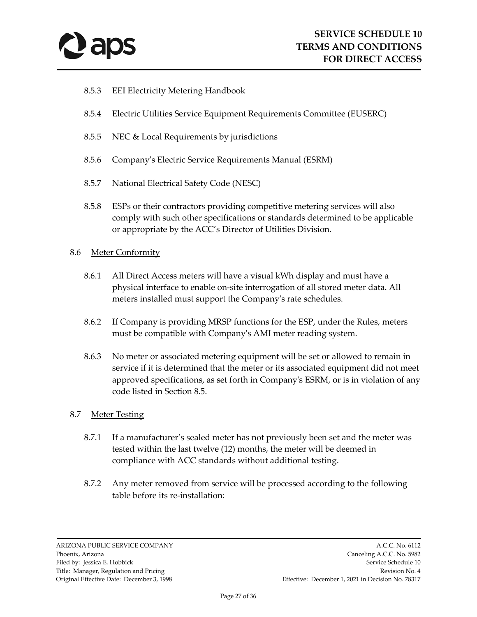

- 8.5.3 EEI Electricity Metering Handbook
- 8.5.4 Electric Utilities Service Equipment Requirements Committee (EUSERC)
- 8.5.5 NEC & Local Requirements by jurisdictions
- 8.5.6 Company's Electric Service Requirements Manual (ESRM)
- 8.5.7 National Electrical Safety Code (NESC)
- 8.5.8 ESPs or their contractors providing competitive metering services will also comply with such other specifications or standards determined to be applicable or appropriate by the ACC's Director of Utilities Division.
- 8.6 Meter Conformity
	- 8.6.1 All Direct Access meters will have a visual kWh display and must have a physical interface to enable on-site interrogation of all stored meter data. All meters installed must support the Company's rate schedules.
	- 8.6.2 If Company is providing MRSP functions for the ESP, under the Rules, meters must be compatible with Company's AMI meter reading system.
	- 8.6.3 No meter or associated metering equipment will be set or allowed to remain in service if it is determined that the meter or its associated equipment did not meet approved specifications, as set forth in Company's ESRM, or is in violation of any code listed in Section 8.5.

#### 8.7 Meter Testing

- 8.7.1 If a manufacturer's sealed meter has not previously been set and the meter was tested within the last twelve (12) months, the meter will be deemed in compliance with ACC standards without additional testing.
- 8.7.2 Any meter removed from service will be processed according to the following table before its re-installation: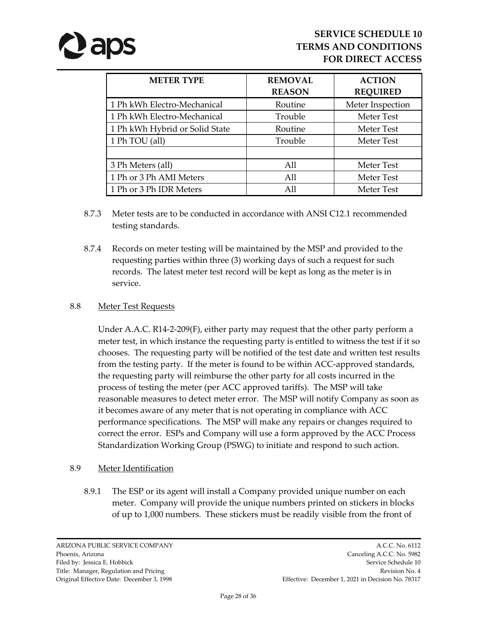# *aps*

| <b>METER TYPE</b>              | <b>REMOVAL</b><br><b>REASON</b> | <b>ACTION</b><br><b>REQUIRED</b> |
|--------------------------------|---------------------------------|----------------------------------|
| 1 Ph kWh Electro-Mechanical    | Routine                         | Meter Inspection                 |
| 1 Ph kWh Electro-Mechanical    | Trouble                         | <b>Meter Test</b>                |
| 1 Ph kWh Hybrid or Solid State | Routine                         | Meter Test                       |
| 1 Ph TOU (all)                 | Trouble                         | Meter Test                       |
|                                |                                 |                                  |
| 3 Ph Meters (all)              | All                             | Meter Test                       |
| 1 Ph or 3 Ph AMI Meters        | All                             | <b>Meter Test</b>                |
| 1 Ph or 3 Ph IDR Meters        | All                             | <b>Meter Test</b>                |

- 8.7.3 Meter tests are to be conducted in accordance with ANSI C12.1 recommended testing standards.
- 8.7.4 Records on meter testing will be maintained by the MSP and provided to the requesting parties within three (3) working days of such a request for such records. The latest meter test record will be kept as long as the meter is in service.

## 8.8 Meter Test Requests

Under A.A.C. R14-2-209(F), either party may request that the other party perform a meter test, in which instance the requesting party is entitled to witness the test if it so chooses. The requesting party will be notified of the test date and written test results from the testing party. If the meter is found to be within ACC-approved standards, the requesting party will reimburse the other party for all costs incurred in the process of testing the meter (per ACC approved tariffs). The MSP will take reasonable measures to detect meter error. The MSP will notify Company as soon as it becomes aware of any meter that is not operating in compliance with ACC performance specifications. The MSP will make any repairs or changes required to correct the error. ESPs and Company will use a form approved by the ACC Process Standardization Working Group (PSWG) to initiate and respond to such action.

## 8.9 Meter Identification

8.9.1 The ESP or its agent will install a Company provided unique number on each meter. Company will provide the unique numbers printed on stickers in blocks of up to 1,000 numbers. These stickers must be readily visible from the front of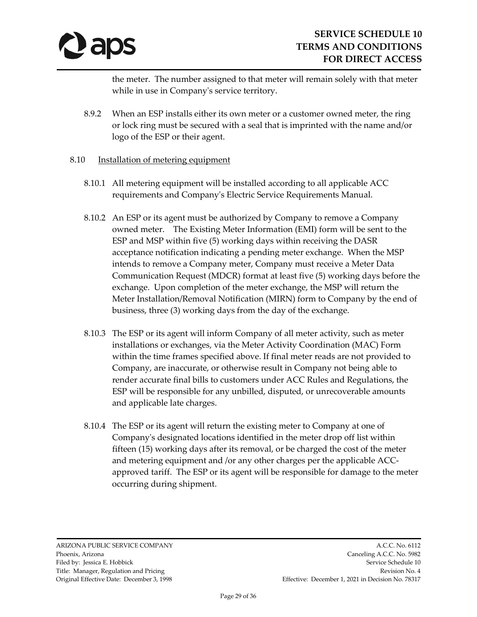

the meter. The number assigned to that meter will remain solely with that meter while in use in Company's service territory.

- 8.9.2 When an ESP installs either its own meter or a customer owned meter, the ring or lock ring must be secured with a seal that is imprinted with the name and/or logo of the ESP or their agent.
- 8.10 Installation of metering equipment
	- 8.10.1 All metering equipment will be installed according to all applicable ACC requirements and Company's Electric Service Requirements Manual.
	- 8.10.2 An ESP or its agent must be authorized by Company to remove a Company owned meter. The Existing Meter Information (EMI) form will be sent to the ESP and MSP within five (5) working days within receiving the DASR acceptance notification indicating a pending meter exchange. When the MSP intends to remove a Company meter, Company must receive a Meter Data Communication Request (MDCR) format at least five (5) working days before the exchange. Upon completion of the meter exchange, the MSP will return the Meter Installation/Removal Notification (MIRN) form to Company by the end of business, three (3) working days from the day of the exchange.
	- 8.10.3 The ESP or its agent will inform Company of all meter activity, such as meter installations or exchanges, via the Meter Activity Coordination (MAC) Form within the time frames specified above. If final meter reads are not provided to Company, are inaccurate, or otherwise result in Company not being able to render accurate final bills to customers under ACC Rules and Regulations, the ESP will be responsible for any unbilled, disputed, or unrecoverable amounts and applicable late charges.
	- 8.10.4 The ESP or its agent will return the existing meter to Company at one of Company's designated locations identified in the meter drop off list within fifteen (15) working days after its removal, or be charged the cost of the meter and metering equipment and /or any other charges per the applicable ACCapproved tariff. The ESP or its agent will be responsible for damage to the meter occurring during shipment.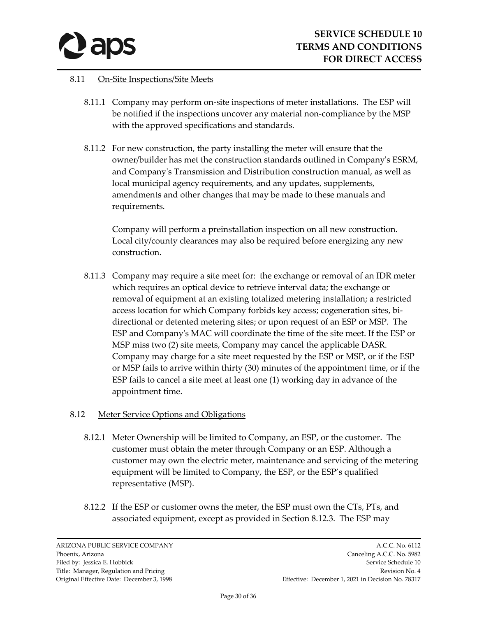

#### 8.11 On-Site Inspections/Site Meets

- 8.11.1 Company may perform on-site inspections of meter installations. The ESP will be notified if the inspections uncover any material non-compliance by the MSP with the approved specifications and standards.
- 8.11.2 For new construction, the party installing the meter will ensure that the owner/builder has met the construction standards outlined in Company's ESRM, and Company's Transmission and Distribution construction manual, as well as local municipal agency requirements, and any updates, supplements, amendments and other changes that may be made to these manuals and requirements.

Company will perform a preinstallation inspection on all new construction. Local city/county clearances may also be required before energizing any new construction.

8.11.3 Company may require a site meet for: the exchange or removal of an IDR meter which requires an optical device to retrieve interval data; the exchange or removal of equipment at an existing totalized metering installation; a restricted access location for which Company forbids key access; cogeneration sites, bidirectional or detented metering sites; or upon request of an ESP or MSP. The ESP and Company's MAC will coordinate the time of the site meet. If the ESP or MSP miss two (2) site meets, Company may cancel the applicable DASR. Company may charge for a site meet requested by the ESP or MSP, or if the ESP or MSP fails to arrive within thirty (30) minutes of the appointment time, or if the ESP fails to cancel a site meet at least one (1) working day in advance of the appointment time.

## 8.12 Meter Service Options and Obligations

- 8.12.1 Meter Ownership will be limited to Company, an ESP, or the customer. The customer must obtain the meter through Company or an ESP. Although a customer may own the electric meter, maintenance and servicing of the metering equipment will be limited to Company, the ESP, or the ESP's qualified representative (MSP).
- 8.12.2 If the ESP or customer owns the meter, the ESP must own the CTs, PTs, and associated equipment, except as provided in Section 8.12.3. The ESP may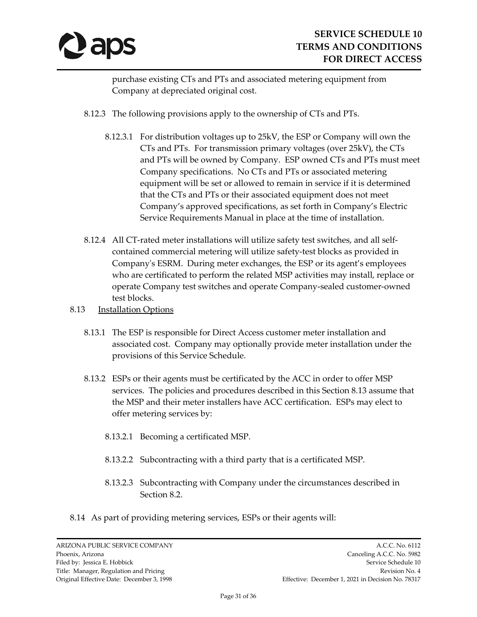

purchase existing CTs and PTs and associated metering equipment from Company at depreciated original cost.

- 8.12.3 The following provisions apply to the ownership of CTs and PTs.
	- 8.12.3.1 For distribution voltages up to 25kV, the ESP or Company will own the CTs and PTs. For transmission primary voltages (over 25kV), the CTs and PTs will be owned by Company. ESP owned CTs and PTs must meet Company specifications. No CTs and PTs or associated metering equipment will be set or allowed to remain in service if it is determined that the CTs and PTs or their associated equipment does not meet Company's approved specifications, as set forth in Company's Electric Service Requirements Manual in place at the time of installation.
- 8.12.4 All CT-rated meter installations will utilize safety test switches, and all selfcontained commercial metering will utilize safety-test blocks as provided in Company's ESRM. During meter exchanges, the ESP or its agent's employees who are certificated to perform the related MSP activities may install, replace or operate Company test switches and operate Company-sealed customer-owned test blocks.
- 8.13 **Installation Options** 
	- 8.13.1 The ESP is responsible for Direct Access customer meter installation and associated cost. Company may optionally provide meter installation under the provisions of this Service Schedule.
	- 8.13.2 ESPs or their agents must be certificated by the ACC in order to offer MSP services. The policies and procedures described in this Section 8.13 assume that the MSP and their meter installers have ACC certification. ESPs may elect to offer metering services by:
		- 8.13.2.1 Becoming a certificated MSP.
		- 8.13.2.2 Subcontracting with a third party that is a certificated MSP.
		- 8.13.2.3 Subcontracting with Company under the circumstances described in Section 8.2.
- 8.14 As part of providing metering services, ESPs or their agents will: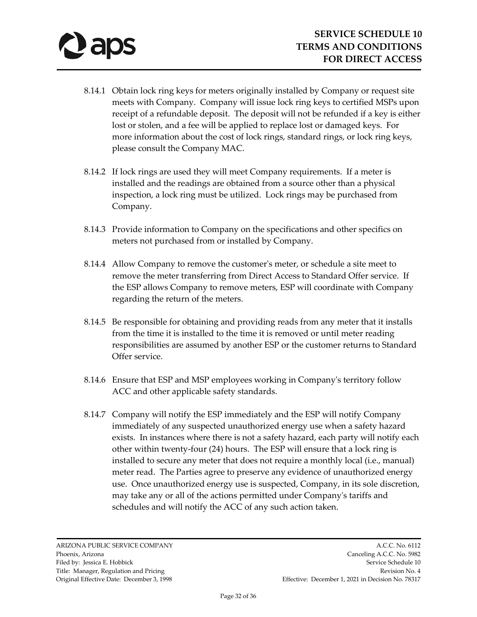- 8.14.1 Obtain lock ring keys for meters originally installed by Company or request site meets with Company. Company will issue lock ring keys to certified MSPs upon receipt of a refundable deposit. The deposit will not be refunded if a key is either lost or stolen, and a fee will be applied to replace lost or damaged keys. For more information about the cost of lock rings, standard rings, or lock ring keys, please consult the Company MAC.
- 8.14.2 If lock rings are used they will meet Company requirements. If a meter is installed and the readings are obtained from a source other than a physical inspection, a lock ring must be utilized. Lock rings may be purchased from Company.
- 8.14.3 Provide information to Company on the specifications and other specifics on meters not purchased from or installed by Company.
- 8.14.4 Allow Company to remove the customer's meter, or schedule a site meet to remove the meter transferring from Direct Access to Standard Offer service. If the ESP allows Company to remove meters, ESP will coordinate with Company regarding the return of the meters.
- 8.14.5 Be responsible for obtaining and providing reads from any meter that it installs from the time it is installed to the time it is removed or until meter reading responsibilities are assumed by another ESP or the customer returns to Standard Offer service.
- 8.14.6 Ensure that ESP and MSP employees working in Company's territory follow ACC and other applicable safety standards.
- 8.14.7 Company will notify the ESP immediately and the ESP will notify Company immediately of any suspected unauthorized energy use when a safety hazard exists. In instances where there is not a safety hazard, each party will notify each other within twenty-four (24) hours. The ESP will ensure that a lock ring is installed to secure any meter that does not require a monthly local (i.e., manual) meter read. The Parties agree to preserve any evidence of unauthorized energy use. Once unauthorized energy use is suspected, Company, in its sole discretion, may take any or all of the actions permitted under Company's tariffs and schedules and will notify the ACC of any such action taken.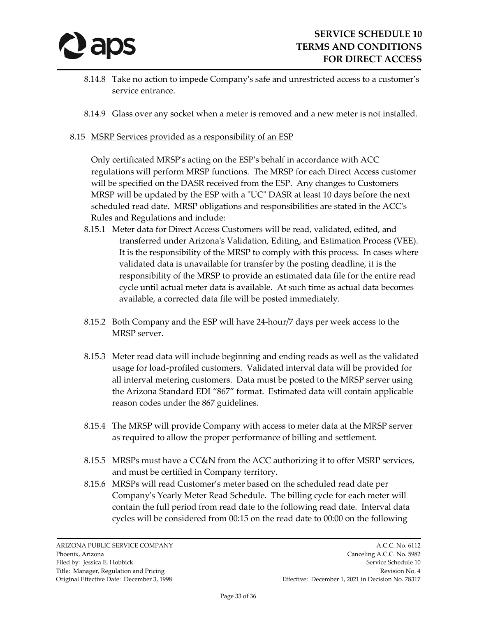

- 8.14.8 Take no action to impede Company's safe and unrestricted access to a customer's service entrance.
- 8.14.9 Glass over any socket when a meter is removed and a new meter is not installed.
- 8.15 MSRP Services provided as a responsibility of an ESP

Only certificated MRSP's acting on the ESP's behalf in accordance with ACC regulations will perform MRSP functions. The MRSP for each Direct Access customer will be specified on the DASR received from the ESP. Any changes to Customers MRSP will be updated by the ESP with a "UC" DASR at least 10 days before the next scheduled read date. MRSP obligations and responsibilities are stated in the ACC's Rules and Regulations and include:

- 8.15.1 Meter data for Direct Access Customers will be read, validated, edited, and transferred under Arizona's Validation, Editing, and Estimation Process (VEE). It is the responsibility of the MRSP to comply with this process. In cases where validated data is unavailable for transfer by the posting deadline, it is the responsibility of the MRSP to provide an estimated data file for the entire read cycle until actual meter data is available. At such time as actual data becomes available, a corrected data file will be posted immediately.
- 8.15.2 Both Company and the ESP will have 24-hour/7 days per week access to the MRSP server.
- 8.15.3 Meter read data will include beginning and ending reads as well as the validated usage for load-profiled customers. Validated interval data will be provided for all interval metering customers. Data must be posted to the MRSP server using the Arizona Standard EDI "867" format. Estimated data will contain applicable reason codes under the 867 guidelines.
- 8.15.4 The MRSP will provide Company with access to meter data at the MRSP server as required to allow the proper performance of billing and settlement.
- 8.15.5 MRSPs must have a CC&N from the ACC authorizing it to offer MSRP services, and must be certified in Company territory.
- 8.15.6 MRSPs will read Customer's meter based on the scheduled read date per Company's Yearly Meter Read Schedule. The billing cycle for each meter will contain the full period from read date to the following read date. Interval data cycles will be considered from 00:15 on the read date to 00:00 on the following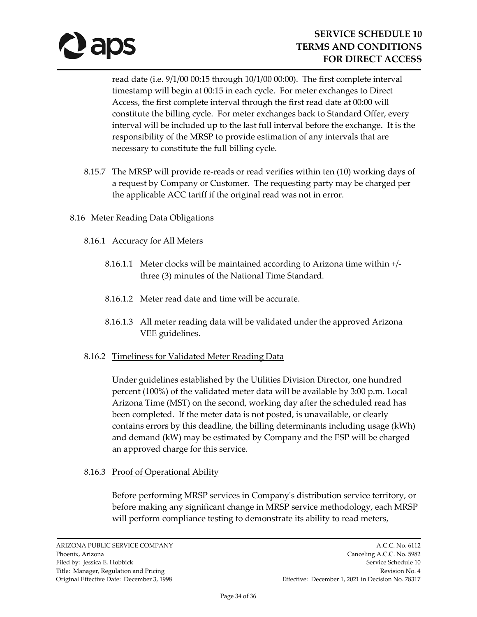

read date (i.e. 9/1/00 00:15 through 10/1/00 00:00). The first complete interval timestamp will begin at 00:15 in each cycle. For meter exchanges to Direct Access, the first complete interval through the first read date at 00:00 will constitute the billing cycle. For meter exchanges back to Standard Offer, every interval will be included up to the last full interval before the exchange. It is the responsibility of the MRSP to provide estimation of any intervals that are necessary to constitute the full billing cycle.

- 8.15.7 The MRSP will provide re-reads or read verifies within ten (10) working days of a request by Company or Customer. The requesting party may be charged per the applicable ACC tariff if the original read was not in error.
- 8.16 Meter Reading Data Obligations
	- 8.16.1 Accuracy for All Meters
		- 8.16.1.1 Meter clocks will be maintained according to Arizona time within +/ three (3) minutes of the National Time Standard.
		- 8.16.1.2 Meter read date and time will be accurate.
		- 8.16.1.3 All meter reading data will be validated under the approved Arizona VEE guidelines.

## 8.16.2 Timeliness for Validated Meter Reading Data

Under guidelines established by the Utilities Division Director, one hundred percent (100%) of the validated meter data will be available by 3:00 p.m. Local Arizona Time (MST) on the second, working day after the scheduled read has been completed. If the meter data is not posted, is unavailable, or clearly contains errors by this deadline, the billing determinants including usage (kWh) and demand (kW) may be estimated by Company and the ESP will be charged an approved charge for this service.

## 8.16.3 Proof of Operational Ability

Before performing MRSP services in Company's distribution service territory, or before making any significant change in MRSP service methodology, each MRSP will perform compliance testing to demonstrate its ability to read meters,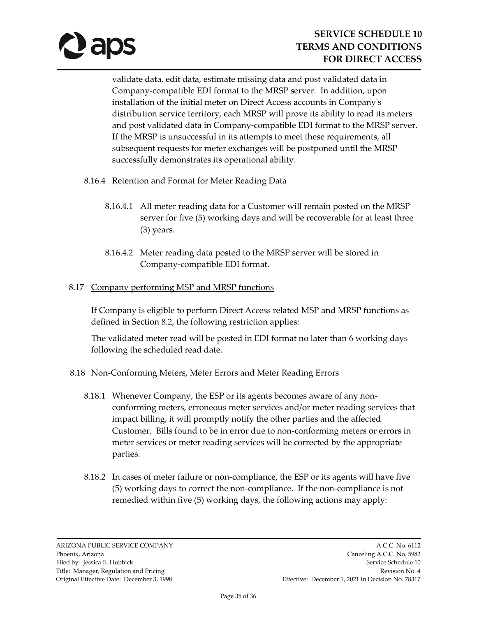

validate data, edit data, estimate missing data and post validated data in Company-compatible EDI format to the MRSP server. In addition, upon installation of the initial meter on Direct Access accounts in Company's distribution service territory, each MRSP will prove its ability to read its meters and post validated data in Company-compatible EDI format to the MRSP server. If the MRSP is unsuccessful in its attempts to meet these requirements, all subsequent requests for meter exchanges will be postponed until the MRSP successfully demonstrates its operational ability.

## 8.16.4 Retention and Format for Meter Reading Data

- 8.16.4.1 All meter reading data for a Customer will remain posted on the MRSP server for five (5) working days and will be recoverable for at least three (3) years.
- 8.16.4.2 Meter reading data posted to the MRSP server will be stored in Company-compatible EDI format.

## 8.17 Company performing MSP and MRSP functions

If Company is eligible to perform Direct Access related MSP and MRSP functions as defined in Section 8.2, the following restriction applies:

The validated meter read will be posted in EDI format no later than 6 working days following the scheduled read date.

## 8.18 Non-Conforming Meters, Meter Errors and Meter Reading Errors

- 8.18.1 Whenever Company, the ESP or its agents becomes aware of any nonconforming meters, erroneous meter services and/or meter reading services that impact billing, it will promptly notify the other parties and the affected Customer. Bills found to be in error due to non-conforming meters or errors in meter services or meter reading services will be corrected by the appropriate parties.
- 8.18.2 In cases of meter failure or non-compliance, the ESP or its agents will have five (5) working days to correct the non-compliance. If the non-compliance is not remedied within five (5) working days, the following actions may apply: